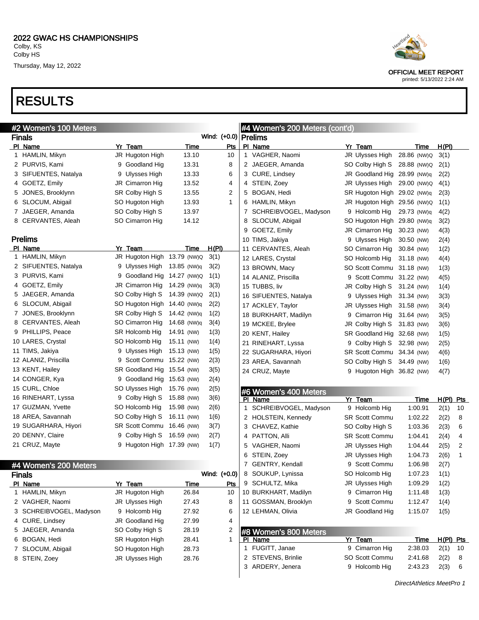# RESULTS

|    | #2 Women's 100 Meters   |                             |             |                        | #4 Women's 200 Meters (cont'd) |   |                             |                           |             |    |
|----|-------------------------|-----------------------------|-------------|------------------------|--------------------------------|---|-----------------------------|---------------------------|-------------|----|
|    | <b>Finals</b>           |                             |             | Wind: (+0.0)   Prelims |                                |   |                             |                           |             |    |
|    | PI Name                 | Yr Team                     | Time        | <b>Pts</b>             | PI Name                        |   | Yr Team                     | Time                      | H(PI)       |    |
|    | 1 HAMLIN, Mikyn         | JR Hugoton High             | 13.10       | 10                     | 1 VAGHER, Naomi                |   | JR Ulysses High             | 28.86 (NW)Q               | 3(1)        |    |
|    | 2 PURVIS, Kami          | 9 Goodland Hig              | 13.31       | 8                      | 2 JAEGER, Amanda               |   | SO Colby High S             | 28.88 (NW)Q               | 2(1)        |    |
|    | 3 SIFUENTES, Natalya    | 9 Ulysses High              | 13.33       | 6                      | 3 CURE, Lindsey                |   | JR Goodland Hig 28.99 (NW)q |                           | 2(2)        |    |
|    | 4 GOETZ, Emily          | JR Cimarron Hig             | 13.52       | 4                      | 4 STEIN, Zoey                  |   | JR Ulysses High             | 29.00 (NW)Q               | 4(1)        |    |
|    | 5 JONES, Brooklynn      | SR Colby High S             | 13.55       | 2                      | 5 BOGAN, Hedi                  |   | SR Hugoton High 29.02 (NW)g |                           | 2(3)        |    |
|    | 6 SLOCUM, Abigail       | SO Hugoton High             | 13.93       | $\mathbf{1}$           | 6 HAMLIN, Mikyn                |   | JR Hugoton High 29.56 (NW)Q |                           | 1(1)        |    |
|    | 7 JAEGER, Amanda        | SO Colby High S             | 13.97       |                        | 7 SCHREIBVOGEL, Madyson        |   | 9 Holcomb Hig               | 29.73 (NW)q               | 4(2)        |    |
|    | 8 CERVANTES, Aleah      | SO Cimarron Hig             | 14.12       |                        | 8 SLOCUM, Abigail              |   | SO Hugoton High 29.80 (NW)q |                           | 3(2)        |    |
|    |                         |                             |             |                        | 9 GOETZ, Emily                 |   | JR Cimarron Hig             | 30.23 (NW)                | 4(3)        |    |
|    | <b>Prelims</b>          |                             |             |                        | 10 TIMS, Jakiya                |   | 9 Ulysses High              | 30.50 (NW)                | 2(4)        |    |
|    | PI Name                 | Yr Team                     | Time        | <u>H(PI)</u>           | 11 CERVANTES, Aleah            |   | SO Cimarron Hig             | 30.84 (NW)                | 1(2)        |    |
|    | 1 HAMLIN, Mikyn         | JR Hugoton High 13.79 (NW)Q |             | 3(1)                   | 12 LARES, Crystal              |   | SO Holcomb Hig              | 31.18 (NW)                | 4(4)        |    |
|    | 2 SIFUENTES, Natalya    | 9 Ulysses High 13.85 (NW)q  |             | 3(2)                   | 13 BROWN, Macy                 |   | SO Scott Commu 31.18 (NW)   |                           | 1(3)        |    |
|    | 3 PURVIS, Kami          | 9 Goodland Hig 14.27 (NW)Q  |             | 1(1)                   | 14 ALANIZ, Priscilla           |   | 9 Scott Commu 31.22 (NW)    |                           | 4(5)        |    |
|    | 4 GOETZ, Emily          | JR Cimarron Hig             | 14.29 (NW)q | 3(3)                   | 15 TUBBS, liv                  |   | JR Colby High S             | 31.24 (NW)                | 1(4)        |    |
|    | 5 JAEGER, Amanda        | SO Colby High S 14.39 (NW)Q |             | 2(1)                   | 16 SIFUENTES, Natalya          |   | 9 Ulysses High              | 31.34 (NW)                | 3(3)        |    |
|    | 6 SLOCUM, Abigail       | SO Hugoton High 14.40 (NW)q |             | 2(2)                   | 17 ACKLEY, Taylor              |   | JR Ulysses High             | 31.58 (NW)                | 3(4)        |    |
|    | 7 JONES, Brooklynn      | SR Colby High S             | 14.42 (NW)q | 1(2)                   | 18 BURKHART, Madilyn           |   | 9 Cimarron Hig              | 31.64 (NW)                | 3(5)        |    |
|    | 8 CERVANTES, Aleah      | SO Cimarron Hig             | 14.68 (NW)q | 3(4)                   | 19 MCKEE, Brylee               |   | JR Colby High S             | 31.83 (NW)                | 3(6)        |    |
|    | 9 PHILLIPS, Peace       | <b>SR Holcomb Hig</b>       | 14.91 (NW)  | 1(3)                   | 20 KENT, Hailey                |   | SR Goodland Hig 32.68 (NW)  |                           | 1(5)        |    |
|    | 10 LARES, Crystal       | SO Holcomb Hig              | 15.11 (NW)  | 1(4)                   | 21 RINEHART, Lyssa             |   | 9 Colby High S 32.98 (NW)   |                           | 2(5)        |    |
|    | 11 TIMS, Jakiya         | 9 Ulysses High              | 15.13 (NW)  | 1(5)                   | 22 SUGARHARA, Hiyori           |   | SR Scott Commu 34.34 (NW)   |                           | 4(6)        |    |
|    | 12 ALANIZ, Priscilla    | 9 Scott Commu 15.22 (NW)    |             | 2(3)                   | 23 AREA, Savannah              |   | SO Colby High S             | 34.49 (NW)                | 1(6)        |    |
|    | 13 KENT, Hailey         | SR Goodland Hig 15.54 (NW)  |             | 3(5)                   | 24 CRUZ, Mayte                 |   | 9 Hugoton High 36.82 (NW)   |                           | 4(7)        |    |
|    | 14 CONGER, Kya          | 9 Goodland Hig 15.63 (NW)   |             | 2(4)                   |                                |   |                             |                           |             |    |
|    | 15 CURL, Chloe          | SO Ulysses High             | 15.76 (NW)  | 2(5)                   | #6 Women's 400 Meters          |   |                             |                           |             |    |
|    | 16 RINEHART, Lyssa      | 9 Colby High S              | 15.88 (NW)  | 3(6)                   | PI Name                        |   | Yr Team                     | Time                      | $H(PI)$ Pts |    |
|    | 17 GUZMAN, Yvette       | SO Holcomb Hig              | 15.98 (NW)  | 2(6)                   | 1 SCHREIBVOGEL, Madyson        |   | 9 Holcomb Hig               | 1:00.91                   | 2(1)        | 10 |
|    | 18 AREA, Savannah       | SO Colby High S             | 16.11 (NW)  | 1(6)                   | 2 HOLSTEIN, Kennedy            |   | <b>SR Scott Commu</b>       | 1:02.22                   | 2(2)        | 8  |
|    | 19 SUGARHARA, Hiyori    | SR Scott Commu 16.46 (NW)   |             | 3(7)                   | 3 CHAVEZ, Kathie               |   | SO Colby High S             | 1:03.36                   | 2(3)        | 6  |
|    | 20 DENNY, Claire        | 9 Colby High S              | 16.59 (NW)  | 2(7)                   | 4 PATTON, Alli                 |   | <b>SR Scott Commu</b>       | 1:04.41                   | 2(4)        | 4  |
|    | 21 CRUZ, Mayte          | 9 Hugoton High 17.39 (NW)   |             | 1(7)                   | 5 VAGHER, Naomi                |   | JR Ulysses High             | 1:04.44                   | 2(5)        | 2  |
|    |                         |                             |             |                        | 6 STEIN, Zoey                  |   | JR Ulysses High             | 1:04.73                   | 2(6)        | 1  |
|    | #4 Women's 200 Meters   |                             |             |                        | 7 GENTRY, Kendall              | 9 | Scott Commu                 | 1:06.98                   | 2(7)        |    |
|    | <b>Finals</b>           |                             |             | Wind: (+0.0)           | 8 SOUKUP, Lynissa              |   | SO Holcomb Hig              | 1:07.23                   | 1(1)        |    |
|    | PI Name                 | Yr Team                     | Time        | Pts                    | 9 SCHULTZ, Mika                |   | JR Ulysses High             | 1:09.29                   | 1(2)        |    |
|    | 1 HAMLIN, Mikyn         | JR Hugoton High             | 26.84       | 10                     | 10 BURKHART, Madilyn           |   | 9 Cimarron Hig              | 1:11.48                   | 1(3)        |    |
|    | 2 VAGHER, Naomi         | JR Ulysses High             | 27.43       | 8                      | 11 GOSSMAN, Brooklyn           |   | 9 Scott Commu               | 1:12.47                   | 1(4)        |    |
|    | 3 SCHREIBVOGEL, Madyson | 9 Holcomb Hig               | 27.92       | 6                      | 12 LEHMAN, Olivia              |   | JR Goodland Hig             | 1:15.07                   | 1(5)        |    |
|    | 4 CURE, Lindsey         | JR Goodland Hig             | 27.99       | 4                      |                                |   |                             |                           |             |    |
| 5. | JAEGER, Amanda          | SO Colby High S             | 28.19       | 2                      | #8 Women's 800 Meters          |   |                             |                           |             |    |
|    | 6 BOGAN, Hedi           | SR Hugoton High             | 28.41       | 1                      | PI Name                        |   | Yr Team                     | <b>Time</b>               | $H(PI)$ Pts |    |
|    | 7 SLOCUM, Abigail       | SO Hugoton High             | 28.73       |                        | 1 FUGITT, Janae                |   | 9 Cimarron Hig              | 2:38.03                   | 2(1)        | 10 |
|    | 8 STEIN, Zoey           | JR Ulysses High             | 28.76       |                        | 2 STEVENS, Brinlie             |   | SO Scott Commu              | 2:41.68                   | 2(2)        | 8  |
|    |                         |                             |             |                        | 3 ARDERY, Jenera               |   | 9 Holcomb Hig               | 2:43.23                   | 2(3)        | 6  |
|    |                         |                             |             |                        |                                |   |                             |                           |             |    |
|    |                         |                             |             |                        |                                |   |                             | DirectAthletics MeetPro 1 |             |    |



OFFICIAL MEET REPORT printed: 5/13/2022 2:24 AM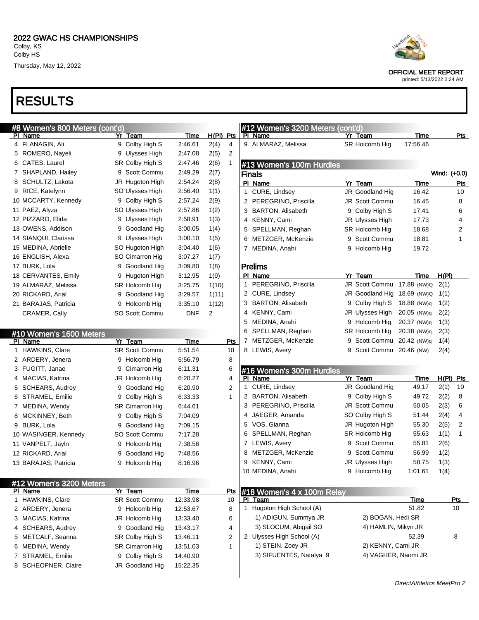



|--|

OFFICIAL MEET REPORT

| #8 Women's 800 Meters (cont'd)     |                       |             |             |            |   | #12 Women's 3200 Meters (cont'd)      |                             |             |              |                |
|------------------------------------|-----------------------|-------------|-------------|------------|---|---------------------------------------|-----------------------------|-------------|--------------|----------------|
| PI Name                            | Yr Team               | Time        | $H(PI)$ Pts |            |   | PI Name                               | Yr Team                     | Time        |              | <u>Pts</u>     |
| 4 FLANAGIN, Ali                    | 9 Colby High S        | 2:46.61     | 2(4)        | 4          |   | 9 ALMARAZ, Melissa                    | SR Holcomb Hig              | 17:56.46    |              |                |
| 5 ROMERO, Nayeli                   | 9 Ulysses High        | 2:47.08     | 2(5)        | 2          |   |                                       |                             |             |              |                |
| 6 CATES, Laurel                    | SR Colby High S       | 2:47.46     | 2(6)        | 1          |   | #13 Women's 100m Hurdles              |                             |             |              |                |
| 7 SHAPLAND, Hailey                 | 9 Scott Commu         | 2:49.29     | 2(7)        |            |   | <b>Finals</b>                         |                             |             | Wind: (+0.0) |                |
| 8 SCHULTZ, Lakota                  | JR Hugoton High       | 2:54.24     | 2(8)        |            |   | PI Name                               | Yr Team                     | Time        |              | Pts            |
| 9 RICE, Katelynn                   | SO Ulysses High       | 2:56.40     | 1(1)        |            | 1 | CURE, Lindsey                         | JR Goodland Hig             | 16.42       |              | 10             |
| 10 MCCARTY, Kennedy                | 9 Colby High S        | 2:57.24     | 2(9)        |            |   | 2 PEREGRINO, Priscilla                | <b>JR Scott Commu</b>       | 16.45       |              | 8              |
| 11 PAEZ, Alyza                     | SO Ulysses High       | 2:57.86     | 1(2)        |            |   | 3 BARTON, Alisabeth                   | 9 Colby High S              | 17.41       |              | 6              |
| 12 PIZZARO, Elida                  | 9 Ulysses High        | 2:58.91     | 1(3)        |            |   | 4 KENNY, Cami                         | JR Ulysses High             | 17.73       |              | 4              |
| 13 OWENS, Addison                  | 9 Goodland Hig        | 3:00.05     | 1(4)        |            |   | 5 SPELLMAN, Reghan                    | SR Holcomb Hig              | 18.68       |              | $\overline{2}$ |
| 14 SIANQUI, Clarissa               | 9 Ulysses High        | 3:00.10     | 1(5)        |            |   | 6 METZGER, McKenzie                   | 9 Scott Commu               | 18.81       |              | $\mathbf{1}$   |
| 15 MEDINA, Abrielle                | SO Hugoton High       | 3:04.40     | 1(6)        |            |   | 7 MEDINA, Anahi                       | 9 Holcomb Hig               | 19.72       |              |                |
| 16 ENGLISH, Alexa                  | SO Cimarron Hig       | 3:07.27     | 1(7)        |            |   |                                       |                             |             |              |                |
| 17 BURK, Lola                      | 9 Goodland Hig        | 3:09.80     | 1(8)        |            |   | <b>Prelims</b>                        |                             |             |              |                |
| 18 CERVANTES, Emily                | 9 Hugoton High        | 3:12.95     | 1(9)        |            |   | PI Name                               | Yr Team                     | <b>Time</b> | H(PI)        |                |
| 19 ALMARAZ, Melissa                | SR Holcomb Hig        | 3:25.75     | 1(10)       |            | 1 | PEREGRINO, Priscilla                  | JR Scott Commu 17.88 (NW)Q  |             | 2(1)         |                |
| 20 RICKARD, Arial                  | 9 Goodland Hig        | 3:29.57     | 1(11)       |            |   | 2 CURE, Lindsey                       | JR Goodland Hig 18.69 (NW)Q |             | 1(1)         |                |
| 21 BARAJAS, Patricia               | 9 Holcomb Hig         | 3:35.10     | 1(12)       |            |   | 3 BARTON, Alisabeth                   | 9 Colby High S              | 18.88 (NW)q | 1(2)         |                |
| CRAMER, Cally                      | SO Scott Commu        | <b>DNF</b>  | 2           |            |   | 4 KENNY, Cami                         | JR Ulysses High             | 20.05 (NW)q | 2(2)         |                |
|                                    |                       |             |             |            |   | 5 MEDINA, Anahi                       | 9 Holcomb Hig               | 20.37 (NW)q | 1(3)         |                |
| #10 Women's 1600 Meters            |                       |             |             |            |   | 6 SPELLMAN, Reghan                    | SR Holcomb Hig              | 20.38 (NW)q | 2(3)         |                |
| PI Name                            | Yr Team               | Time        |             | <b>Pts</b> |   | 7 METZGER, McKenzie                   | 9 Scott Commu 20.42 (NW)q   |             | 1(4)         |                |
| 1 HAWKINS, Clare                   | <b>SR Scott Commu</b> | 5:51.54     |             | 10         |   | 8 LEWIS, Avery                        | 9 Scott Commu 20.46 (NW)    |             | 2(4)         |                |
| 2 ARDERY, Jenera                   | 9 Holcomb Hig         | 5:56.79     |             | 8          |   |                                       |                             |             |              |                |
| 3 FUGITT, Janae                    | 9 Cimarron Hig        | 6:11.31     |             | 6          |   | #16 Women's 300m Hurdles              |                             |             |              |                |
| 4 MACIAS, Katrina                  | JR Holcomb Hig        | 6:20.27     |             | 4          |   | PI Name                               | Yr Team                     | Time        | $H(PI)$ Pts  |                |
| 5 SCHEARS, Audrey                  | 9 Goodland Hig        | 6:20.90     |             | 2          |   | 1 CURE, Lindsey                       | JR Goodland Hig             | 49.17       | 2(1)         | 10             |
| 6 STRAMEL, Emilie                  | 9 Colby High S        | 6:33.33     |             | 1          |   | 2 BARTON, Alisabeth                   | 9 Colby High S              | 49.72       | 2(2)         | 8              |
| 7 MEDINA, Wendy                    | SR Cimarron Hig       | 6:44.61     |             |            |   | 3 PEREGRINO, Priscilla                | JR Scott Commu              | 50.05       | 2(3)         | 6              |
| 8 MCKINNEY, Beth                   | 9 Colby High S        | 7:04.09     |             |            |   | 4 JAEGER, Amanda                      | SO Colby High S             | 51.44       | 2(4)         | 4              |
| 9 BURK, Lola                       | 9 Goodland Hig        | 7:09.15     |             |            |   | 5 VOS, Gianna                         | JR Hugoton High             | 55.30       | 2(5)         | 2              |
| 10 WASINGER, Kennedy               | SO Scott Commu        | 7:17.28     |             |            |   | 6 SPELLMAN, Reghan                    | SR Holcomb Hig              | 55.63       | 1(1)         | $\mathbf 1$    |
| 11 VANPELT, Jayln                  | 9 Holcomb Hig         | 7:38.56     |             |            |   | 7 LEWIS, Avery                        | 9 Scott Commu               | 55.81       | 2(6)         |                |
| 12 RICKARD, Arial                  | 9 Goodland Hig        | 7:48.56     |             |            |   | 8 METZGER, McKenzie                   | 9 Scott Commu               | 56.99       | 1(2)         |                |
| 13 BARAJAS, Patricia               | 9 Holcomb Hig         | 8:16.96     |             |            |   | 9 KENNY, Cami                         | JR Ulysses High             | 58.75       | 1(3)         |                |
|                                    |                       |             |             |            |   | 10 MEDINA, Anahi                      | 9 Holcomb Hig               | 1:01.61     | 1(4)         |                |
|                                    |                       |             |             |            |   |                                       |                             |             |              |                |
| #12 Women's 3200 Meters<br>PI Name | Yr Team               | <b>Time</b> |             | <u>Pts</u> |   |                                       |                             |             |              |                |
| 1 HAWKINS, Clare                   | SR Scott Commu        | 12:33.98    |             | 10         |   | #18 Women's 4 x 100m Relay<br>PI Team |                             | Time        |              | <b>Pts</b>     |
| 2 ARDERY, Jenera                   | 9 Holcomb Hig         | 12:53.67    |             | 8          |   | 1 Hugoton High School (A)             |                             | 51.82       |              | 10             |
| 3 MACIAS, Katrina                  | JR Holcomb Hig        | 13:33.40    |             | 6          |   | 1) ADIGUN, Summya JR                  | 2) BOGAN, Hedi SR           |             |              |                |
| 4 SCHEARS, Audrey                  | 9 Goodland Hig        | 13:43.17    |             | 4          |   | 3) SLOCUM, Abigail SO                 | 4) HAMLIN, Mikyn JR         |             |              |                |
| 5 METCALF, Seanna                  | SR Colby High S       | 13:46.11    |             | 2          |   | 2 Ulysses High School (A)             |                             | 52.39       |              | 8              |
| 6 MEDINA, Wendy                    | SR Cimarron Hig       | 13:51.03    |             | 1          |   | 1) STEIN, Zoey JR                     | 2) KENNY, Cami JR           |             |              |                |
| 7 STRAMEL, Emilie                  | 9 Colby High S        | 14:40.90    |             |            |   | 3) SIFUENTES, Natalya 9               | 4) VAGHER, Naomi JR         |             |              |                |
| 8 SCHEOPNER, Claire                | JR Goodland Hig       | 15:22.35    |             |            |   |                                       |                             |             |              |                |
|                                    |                       |             |             |            |   |                                       |                             |             |              |                |
|                                    |                       |             |             |            |   |                                       |                             |             |              |                |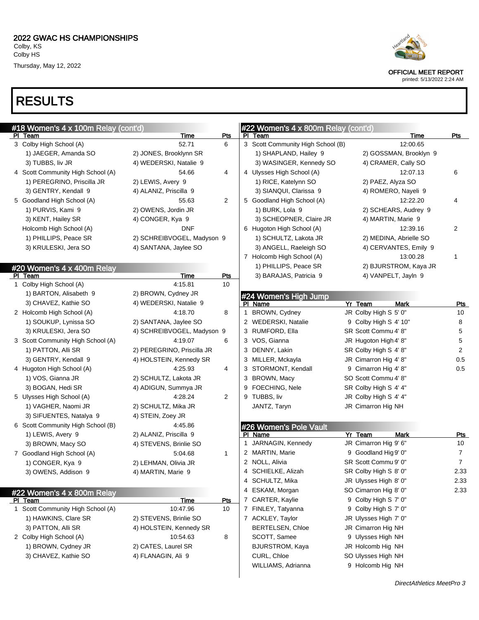# RESULTS

| #18 Women's 4 x 100m Relay (cont'd) |                            |                | #22 Women's 4 x 800m Relay (cont'd) |                        |                |
|-------------------------------------|----------------------------|----------------|-------------------------------------|------------------------|----------------|
| PI Team                             | Time                       | Pts            | Team<br>PI.                         | Time                   | Pts            |
| 3 Colby High School (A)             | 52.71                      | 6              | 3 Scott Community High School (B)   | 12:00.65               |                |
| 1) JAEGER, Amanda SO                | 2) JONES, Brooklynn SR     |                | 1) SHAPLAND, Hailey 9               | 2) GOSSMAN, Brooklyn 9 |                |
| 3) TUBBS, liv JR                    | 4) WEDERSKI, Natalie 9     |                | 3) WASINGER, Kennedy SO             | 4) CRAMER, Cally SO    |                |
| 4 Scott Community High School (A)   | 54.66                      | 4              | 4 Ulysses High School (A)           | 12:07.13               | 6              |
| 1) PEREGRINO, Priscilla JR          | 2) LEWIS, Avery 9          |                | 1) RICE, Katelynn SO                | 2) PAEZ, Alyza SO      |                |
| 3) GENTRY, Kendall 9                | 4) ALANIZ, Priscilla 9     |                | 3) SIANQUI, Clarissa 9              | 4) ROMERO, Nayeli 9    |                |
| 5 Goodland High School (A)          | 55.63                      | $\overline{2}$ | 5 Goodland High School (A)          | 12:22.20               | 4              |
| 1) PURVIS, Kami 9                   | 2) OWENS, Jordin JR        |                | 1) BURK, Lola 9                     | 2) SCHEARS, Audrey 9   |                |
| 3) KENT, Hailey SR                  | 4) CONGER, Kya 9           |                | 3) SCHEOPNER, Claire JR             | 4) MARTIN, Marie 9     |                |
| Holcomb High School (A)             | <b>DNF</b>                 |                | 6 Hugoton High School (A)           | 12:39.16               | $\overline{2}$ |
| 1) PHILLIPS, Peace SR               | 2) SCHREIBVOGEL, Madyson 9 |                | 1) SCHULTZ, Lakota JR               | 2) MEDINA, Abrielle SO |                |
| 3) KRULESKI, Jera SO                | 4) SANTANA, Jaylee SO      |                | 3) ANGELL, Raeleigh SO              | 4) CERVANTES, Emily 9  |                |
|                                     |                            |                | 7 Holcomb High School (A)           | 13:00.28               | 1              |
| #20 Women's 4 x 400m Relay          |                            |                | 1) PHILLIPS, Peace SR               | 2) BJURSTROM, Kaya JR  |                |
| PI Team                             | Time                       | <b>Pts</b>     | 3) BARAJAS, Patricia 9              | 4) VANPELT, Jayln 9    |                |
| 1 Colby High School (A)             | 4:15.81                    | 10             |                                     |                        |                |
| 1) BARTON, Alisabeth 9              | 2) BROWN, Cydney JR        |                | #24 Women's High Jump               |                        |                |
| 3) CHAVEZ, Kathie SO                | 4) WEDERSKI, Natalie 9     |                | PI Name                             | Yr Team<br><b>Mark</b> | <b>Pts</b>     |
| 2 Holcomb High School (A)           | 4:18.70                    | 8              | BROWN, Cydney<br>1.                 | JR Colby High S 5' 0"  | 10             |
| 1) SOUKUP, Lynissa SO               | 2) SANTANA, Jaylee SO      |                | 2 WEDERSKI, Natalie                 | 9 Colby High S 4' 10"  | 8              |
| 3) KRULESKI, Jera SO                | 4) SCHREIBVOGEL, Madyson 9 |                | 3 RUMFORD, Ella                     | SR Scott Commu 4' 8"   | 5              |
| 3 Scott Community High School (A)   | 4:19.07                    | 6              | 3 VOS, Gianna                       | JR Hugoton High 4' 8"  | 5              |
| 1) PATTON, Alli SR                  | 2) PEREGRINO, Priscilla JR |                | 3 DENNY, Lakin                      | SR Colby High S 4' 8"  | $\overline{2}$ |
| 3) GENTRY, Kendall 9                | 4) HOLSTEIN, Kennedy SR    |                | 3 MILLER, Mckayla                   | JR Cimarron Hig 4' 8"  | 0.5            |
| 4 Hugoton High School (A)           | 4:25.93                    | 4              | 3 STORMONT, Kendall                 | 9 Cimarron Hig 4' 8"   | 0.5            |
| 1) VOS, Gianna JR                   | 2) SCHULTZ, Lakota JR      |                | 3 BROWN, Macy                       | SO Scott Commu 4' 8"   |                |
| 3) BOGAN, Hedi SR                   | 4) ADIGUN, Summya JR       |                | FOECHING, Nele<br>9                 | SR Colby High S 4' 4"  |                |
| 5 Ulysses High School (A)           | 4:28.24                    | $\overline{2}$ | 9 TUBBS, liv                        | JR Colby High S 4' 4"  |                |
| 1) VAGHER, Naomi JR                 | 2) SCHULTZ, Mika JR        |                | JANTZ, Taryn                        | JR Cimarron Hig NH     |                |
| 3) SIFUENTES, Natalya 9             | 4) STEIN, Zoey JR          |                |                                     |                        |                |
| 6 Scott Community High School (B)   | 4:45.86                    |                | #26 Women's Pole Vault              |                        |                |
| 1) LEWIS, Avery 9                   | 2) ALANIZ, Priscilla 9     |                | PI Name                             | Yr Team<br>Mark        | <u>Pts</u>     |
| 3) BROWN, Macy SO                   | 4) STEVENS, Brinlie SO     |                | 1 JARNAGIN, Kennedy                 | JR Cimarron Hig 9' 6"  | 10             |
| 7 Goodland High School (A)          | 5:04.68                    | $\mathbf{1}$   | 2 MARTIN, Marie                     | 9 Goodland Hig 9' 0"   | 7              |
| 1) CONGER, Kya 9                    | 2) LEHMAN, Olivia JR       |                | 2 NOLL, Alivia                      | SR Scott Commu 9' 0"   | $\overline{7}$ |
| 3) OWENS, Addison 9                 | 4) MARTIN, Marie 9         |                | 4 SCHIELKE, Alizah                  | SR Colby High S 8' 0"  | 2.33           |
|                                     |                            |                | 4 SCHULTZ, Mika                     | JR Ulysses High 8' 0"  | 2.33           |
| #22 Women's 4 x 800m Relay          |                            |                | 4 ESKAM, Morgan                     | SO Cimarron Hig 8' 0"  | 2.33           |
| PI Team                             | <b>Time</b>                | Pts            | 7 CARTER, Kaylie                    | 9 Colby High S 7' 0"   |                |
| 1 Scott Community High School (A)   | 10:47.96                   | 10             | 7 FINLEY, Tatyanna                  | 9 Colby High S 7' 0"   |                |
| 1) HAWKINS, Clare SR                | 2) STEVENS, Brinlie SO     |                | 7 ACKLEY, Taylor                    | JR Ulysses High 7' 0"  |                |
| 3) PATTON, Alli SR                  | 4) HOLSTEIN, Kennedy SR    |                | <b>BERTELSEN, Chloe</b>             | JR Cimarron Hig NH     |                |
| 2 Colby High School (A)             | 10:54.63                   | 8              | SCOTT, Samee                        | 9 Ulysses High NH      |                |
| 1) BROWN, Cydney JR                 | 2) CATES, Laurel SR        |                | <b>BJURSTROM, Kaya</b>              | JR Holcomb Hig NH      |                |
| 3) CHAVEZ, Kathie SO                | 4) FLANAGIN, Ali 9         |                | CURL, Chloe                         | SO Ulysses High NH     |                |
|                                     |                            |                | WILLIAMS, Adrianna                  | 9 Holcomb Hig NH       |                |
|                                     |                            |                |                                     |                        |                |

OFFICIAL MEET REPORT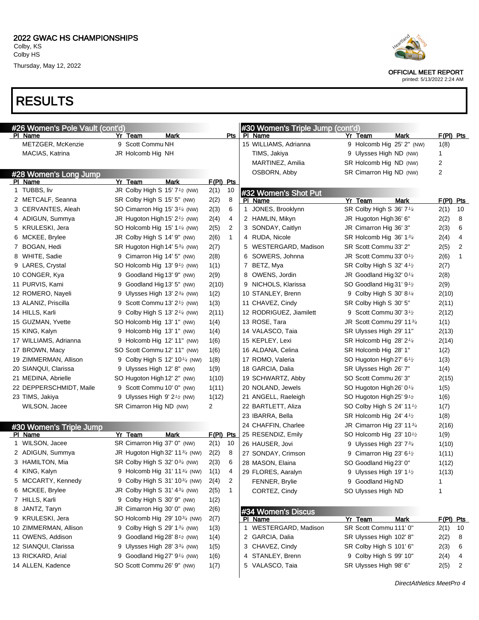

| #26 Women's Pole Vault (cont'd) |                                                        |             |              | #30 Women's Triple Jump (cont'd) |                                                 |      |             |    |
|---------------------------------|--------------------------------------------------------|-------------|--------------|----------------------------------|-------------------------------------------------|------|-------------|----|
| PI Name                         | Yr Team<br>Mark                                        |             | Pts          | PI Name                          | Yr Team                                         | Mark | $F(PI)$ Pts |    |
| METZGER, McKenzie               | 9 Scott Commu NH                                       |             |              | 15 WILLIAMS, Adrianna            | 9 Holcomb Hig 25' 2" (NW)                       |      | 1(8)        |    |
| MACIAS, Katrina                 | JR Holcomb Hig NH                                      |             |              | TIMS, Jakiya                     | 9 Ulysses High ND (NW)                          |      | 1           |    |
|                                 |                                                        |             |              | MARTINEZ, Amilia                 | SR Holcomb Hig ND (NW)                          |      | 2           |    |
| #28 Women's Long Jump           |                                                        |             |              | OSBORN, Abby                     | SR Cimarron Hig ND (NW)                         |      | 2           |    |
| PI Name                         | Yr Team<br>Mark                                        | $F(PI)$ Pts |              |                                  |                                                 |      |             |    |
| 1 TUBBS, liv                    | JR Colby High S 15' 7 <sup>1</sup> /2 (NW)             | 2(1)        | 10           | #32 Women's Shot Put             |                                                 |      |             |    |
| 2 METCALF, Seanna               | SR Colby High S 15' 5" (NW)                            | 2(2)        | 8            | PI Name                          | Yr Team                                         | Mark | $F(PI)$ Pts |    |
| 3 CERVANTES, Aleah              | SO Cimarron Hig 15' 3 <sup>1/4</sup> (NW)              | 2(3)        | 6            | 1 JONES, Brooklynn               | SR Colby High S 36' 7 <sup>1/4</sup>            |      | 2(1)        | 10 |
| 4 ADIGUN, Summya                | JR Hugoton High 15' 2 <sup>1</sup> / <sub>2</sub> (NW) | 2(4)        | 4            | 2 HAMLIN, Mikyn                  | JR Hugoton High 36' 6"                          |      | 2(2)        | 8  |
| 5 KRULESKI, Jera                | SO Holcomb Hig 15' 1 <sup>1/4</sup> (NW)               | 2(5)        | 2            | 3 SONDAY, Caitlyn                | JR Cimarron Hig 36' 3"                          |      | 2(3)        | 6  |
| 6 MCKEE, Brylee                 | JR Colby High S 14' 9" (NW)                            | 2(6)        | $\mathbf{1}$ | 4 RUDA, Nicole                   | SR Holcomb Hig 36' 13/4                         |      | 2(4)        | 4  |
| 7 BOGAN, Hedi                   | SR Hugoton High 14' 534 (NW)                           | 2(7)        |              | 5 WESTERGARD, Madison            | SR Scott Commu 33' 2"                           |      | 2(5)        | 2  |
| 8 WHITE, Sadie                  | 9 Cimarron Hig 14' 5" (NW)                             | 2(8)        |              | 6 SOWERS, Johnna                 | JR Scott Commu 33' 01/2                         |      | 2(6)        | 1  |
| 9 LARES, Crystal                | SO Holcomb Hig $13'9'$ (NW)                            | 1(1)        |              | 7 BETZ, Mya                      | SR Colby High S 32' $4\frac{1}{2}$              |      | 2(7)        |    |
| 10 CONGER, Kya                  | 9 Goodland Hig 13' 9" (NW)                             | 2(9)        |              | 8 OWENS, Jordin                  | JR Goodland Hig 32' 0 <sup>1/4</sup>            |      | 2(8)        |    |
| 11 PURVIS, Kami                 | 9 Goodland Hig 13' 5" (NW)                             | 2(10)       |              | 9 NICHOLS, Klarissa              | SO Goodland Hig 31' 9 <sup>1</sup> /2           |      | 2(9)        |    |
| 12 ROMERO, Nayeli               | 9 Ulysses High 13' $2\frac{3}{4}$ (NW)                 | 1(2)        |              | 10 STANLEY, Brenn                | 9 Colby High S 30' 8 <sup>1/4</sup>             |      | 2(10)       |    |
| 13 ALANIZ, Priscilla            | 9 Scott Commu 13' $2\frac{1}{2}$ (NW)                  | 1(3)        |              | 11 CHAVEZ, Cindy                 | SR Colby High S 30' 5"                          |      | 2(11)       |    |
| 14 HILLS, Karli                 | 9 Colby High S 13' $2^{1/4}$ (NW)                      | 2(11)       |              | 12 RODRIGUEZ, Jiamilett          | 9 Scott Commu 30' 3 <sup>1</sup> / <sub>2</sub> |      | 2(12)       |    |
| 15 GUZMAN, Yvette               | SO Holcomb Hig 13' 1" (NW)                             |             |              | 13 ROSE, Tara                    | JR Scott Commu 29' 1134                         |      | 1(1)        |    |
|                                 |                                                        | 1(4)        |              |                                  |                                                 |      |             |    |
| 15 KING, Kalyn                  | 9 Holcomb Hig 13' 1" (NW)                              | 1(4)        |              | 14 VALASCO, Taia                 | SR Ulysses High 29' 11"                         |      | 2(13)       |    |
| 17 WILLIAMS, Adrianna           | 9 Holcomb Hig 12' 11" (NW)                             | 1(6)        |              | 15 KEPLEY, Lexi                  | SR Holcomb Hig $28'2'4$                         |      | 2(14)       |    |
| 17 BROWN, Macy                  | SO Scott Commu 12' 11" (NW)                            | 1(6)        |              | 16 ALDANA, Celina                | SR Holcomb Hig 28' 1"                           |      | 1(2)        |    |
| 19 ZIMMERMAN, Allison           | 9 Colby High S 12' 10 <sup>1/4</sup> (NW)              | 1(8)        |              | 17 ROMO, Valeria                 | SO Hugoton High 27' 6 <sup>1/2</sup>            |      | 1(3)        |    |
| 20 SIANQUI, Clarissa            | 9 Ulysses High 12' 8" (NW)                             | 1(9)        |              | 18 GARCIA, Dalia                 | SR Ulysses High 26' 7"                          |      | 1(4)        |    |
| 21 MEDINA, Abrielle             | SO Hugoton High 12' 2" (NW)                            | 1(10)       |              | 19 SCHWARTZ, Abby                | SO Scott Commu 26' 3"                           |      | 2(15)       |    |
| 22 DEPPERSCHMIDT, Maile         | 9 Scott Commu 10' 0" (NW)                              | 1(11)       |              | 20 NOLAND, Jewels                | SO Hugoton High 26' 0 <sup>1/4</sup>            |      | 1(5)        |    |
| 23 TIMS, Jakiya                 | 9 Ulysses High 9' 2 <sup>1</sup> / <sub>2</sub> (NW)   | 1(12)       |              | 21 ANGELL, Raeleigh              | SO Hugoton High 25' 9 <sup>1</sup> /2           |      | 1(6)        |    |
| WILSON, Jacee                   | SR Cimarron Hig ND (NW)                                | 2           |              | 22 BARTLETT, Aliza               | SO Colby High S 24' 11 <sup>1</sup> /2          |      | 1(7)        |    |
|                                 |                                                        |             |              | 23 IBARRA, Bella                 | SR Holcomb Hig 24' 4 <sup>1</sup> /2            |      | 1(8)        |    |
| #30 Women's Triple Jump         |                                                        |             |              | 24 CHAFFIN, Charlee              | JR Cimarron Hig 23' 1134                        |      | 2(16)       |    |
| PI Name                         | Mark<br>Yr Team                                        | $F(PI)$ Pts |              | 25 RESENDIZ, Emily               | SO Holcomb Hig 23' 10 <sup>1</sup> /2           |      | 1(9)        |    |
| 1 WILSON, Jacee                 | SR Cimarron Hig 37' 0" (NW)                            | 2(1)        | 10           | 26 HAUSER, Jovi                  | 9 Ulysses High 23' 734                          |      | 1(10)       |    |
| 2 ADIGUN, Summya                | JR Hugoton High 32' 11 <sup>3/4</sup> (NW)             | 2(2)        | 8            | 27 SONDAY, Crimson               | 9 Cimarron Hig 23' $6\frac{1}{2}$               |      | 1(11)       |    |
| 3 HAMILTON, Mia                 | SR Colby High S 32' 0 <sup>3/4</sup> (NW)              | 2(3)        | 6            | 28 MASON, Elaina                 | SO Goodland Hig 23' 0"                          |      | 1(12)       |    |
| 4 KING, Kalyn                   | 9 Holcomb Hig 31' 11 <sup>3/4</sup> (NW)               | 1(1)        | 4            | 29 FLORES, Aaralyn               | 9 Ulysses High 19' 1 <sup>1</sup> /2            |      | 1(13)       |    |
| 5 MCCARTY, Kennedy              | 9 Colby High S 31' 10 <sup>3/4</sup> (NW)              | 2(4)        | 2            | FENNER, Brylie                   | 9 Goodland Hig ND                               |      |             |    |
| 6 MCKEE, Brylee                 | JR Colby High S 31' $4\frac{3}{4}$ (NW)                | 2(5)        | 1            | CORTEZ, Cindy                    | SO Ulysses High ND                              |      | 1           |    |
| 7 HILLS, Karli                  | 9 Colby High S 30' 9" (NW)                             | 1(2)        |              |                                  |                                                 |      |             |    |
| 8 JANTZ, Taryn                  | JR Cimarron Hig 30' 0" (NW)                            | 2(6)        |              | #34 Women's Discus               |                                                 |      |             |    |
| 9 KRULESKI, Jera                | SO Holcomb Hig 29' 10 <sup>3/4</sup> (NW)              | 2(7)        |              | PI Name                          | Yr Team                                         | Mark | $F(PI)$ Pts |    |
| 10 ZIMMERMAN, Allison           | 9 Colby High S 29' 1 <sup>3/4</sup> (NW)               | 1(3)        |              | 1 WESTERGARD, Madison            | SR Scott Commu 111' 0"                          |      | 2(1)        | 10 |
| 11 OWENS, Addison               | 9 Goodland Hig 28' 8 $\frac{1}{2}$ (NW)                | 1(4)        |              | 2 GARCIA, Dalia                  | SR Ulysses High 102' 8"                         |      | 2(2)        | 8  |
| 12 SIANQUI, Clarissa            | 9 Ulysses High 28' $3\frac{3}{4}$ (NW)                 | 1(5)        |              | 3 CHAVEZ, Cindy                  | SR Colby High S 101' 6"                         |      | 2(3)        | 6  |
| 13 RICKARD, Arial               | 9 Goodland Hig 27' 9 <sup>1/4</sup> (NW)               | 1(6)        |              | 4 STANLEY, Brenn                 | 9 Colby High S 99' 10"                          |      | 2(4)        | 4  |
| 14 ALLEN, Kadence               | SO Scott Commu 26' 9" (NW)                             | 1(7)        |              | 5 VALASCO, Taia                  | SR Ulysses High 98' 6"                          |      | 2(5)        | 2  |
|                                 |                                                        |             |              |                                  |                                                 |      |             |    |



OFFICIAL MEET REPORT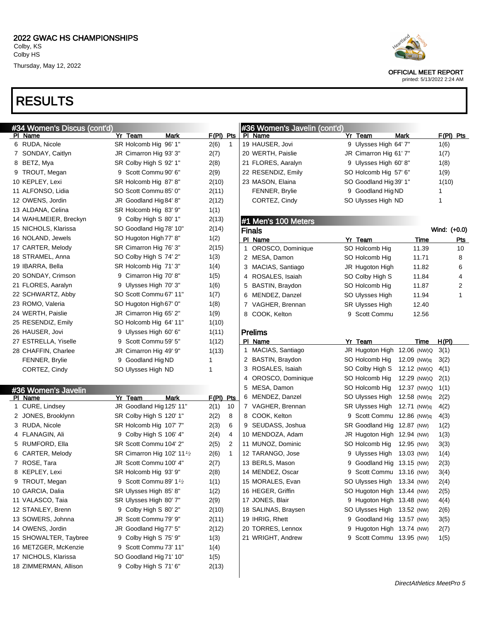# RESULTS



#### OFFICIAL MEET REPORT

| #34 Women's Discus (cont'd)    |                                         |                        | #36 Women's Javelin (cont'd)     |                              |             |              |
|--------------------------------|-----------------------------------------|------------------------|----------------------------------|------------------------------|-------------|--------------|
| PI Name                        | Yr Team<br>Mark                         | F(PI) Pts              | PI Name                          | Yr Team                      | Mark        | F(PI) Pts    |
| 6 RUDA, Nicole                 | SR Holcomb Hig 96' 1"                   | 2(6)<br>$\overline{1}$ | 19 HAUSER, Jovi                  | 9 Ulysses High 64' 7"        |             | 1(6)         |
| 7 SONDAY, Caitlyn              | JR Cimarron Hig 93' 3"                  | 2(7)                   | 20 WERTH, Paislie                | JR Cimarron Hig 61' 7"       |             | 1(7)         |
| 8 BETZ, Mya                    | SR Colby High S 92' 1"                  | 2(8)                   | 21 FLORES, Aaralyn               | 9 Ulysses High 60' 8"        |             | 1(8)         |
| 9 TROUT, Megan                 | 9 Scott Commu 90' 6"                    | 2(9)                   | 22 RESENDIZ, Emily               | SO Holcomb Hig 57' 6"        |             | 1(9)         |
| 10 KEPLEY, Lexi                | SR Holcomb Hig 87' 8"                   | 2(10)                  | 23 MASON, Elaina                 | SO Goodland Hig 39' 1"       |             | 1(10)        |
| 11 ALFONSO, Lidia              | SO Scott Commu 85' 0"                   | 2(11)                  | <b>FENNER, Brylie</b>            | 9 Goodland Hig ND            |             | 1            |
| 12 OWENS, Jordin               | JR Goodland Hig 84' 8"                  | 2(12)                  | CORTEZ, Cindy                    | SO Ulysses High ND           |             | 1            |
| 13 ALDANA, Celina              | SR Holcomb Hig 83' 9"                   | 1(1)                   |                                  |                              |             |              |
| 14 WAHLMEIER, Breckyn          | 9 Colby High S 80' 1"                   | 2(13)                  | #1 Men's 100 Meters              |                              |             |              |
| 15 NICHOLS, Klarissa           | SO Goodland Hig 78' 10"                 | 2(14)                  | <b>Finals</b>                    |                              |             | Wind: (+0.0) |
| 16 NOLAND, Jewels              | SO Hugoton High 77' 8"                  | 1(2)                   | PI Name                          | Yr Team                      | Time        | <u>Pts</u>   |
| 17 CARTER, Melody              | SR Cimarron Hig 76' 3"                  | 2(15)                  | OROSCO, Dominique<br>$\mathbf 1$ | SO Holcomb Hig               | 11.39       | 10           |
| 18 STRAMEL, Anna               | SO Colby High S 74' 2"                  | 1(3)                   | 2 MESA, Damon                    | SO Holcomb Hig               | 11.71       | 8            |
| 19 IBARRA, Bella               | SR Holcomb Hig 71' 3"                   | 1(4)                   | 3 MACIAS, Santiago               | JR Hugoton High              | 11.82       | 6            |
| 20 SONDAY, Crimson             | 9 Cimarron Hig 70' 8"                   | 1(5)                   | 4 ROSALES, Isaiah                | SO Colby High S              | 11.84       | 4            |
| 21 FLORES, Aaralyn             | 9 Ulysses High 70' 3"                   | 1(6)                   | 5 BASTIN, Braydon                | SO Holcomb Hig               | 11.87       | 2            |
| 22 SCHWARTZ, Abby              | SO Scott Commu 67' 11"                  | 1(7)                   | 6 MENDEZ, Danzel                 | SO Ulysses High              | 11.94       | 1            |
| 23 ROMO, Valeria               | SO Hugoton High 67' 0"                  | 1(8)                   | 7 VAGHER, Brennan                | <b>SR Ulysses High</b>       | 12.40       |              |
| 24 WERTH, Paislie              | JR Cimarron Hig 65' 2"                  | 1(9)                   | 8 COOK, Kelton                   | 9 Scott Commu                | 12.56       |              |
| 25 RESENDIZ, Emily             | SO Holcomb Hig 64' 11"                  | 1(10)                  |                                  |                              |             |              |
| 26 HAUSER, Jovi                | 9 Ulysses High 60' 6"                   | 1(11)                  | Prelims                          |                              |             |              |
| 27 ESTRELLA, Yiselle           | 9 Scott Commu 59' 5"                    | 1(12)                  | PI Name                          | Yr Team                      | Time        | H(PI)        |
| 28 CHAFFIN, Charlee            | JR Cimarron Hig 49' 9"                  | 1(13)                  | 1 MACIAS, Santiago               | JR Hugoton High 12.06 (NW)Q  |             | 3(1)         |
| FENNER, Brylie                 | 9 Goodland Hig ND                       | 1                      | 2 BASTIN, Braydon                | SO Holcomb Hig               | 12.09 (NW)q | 3(2)         |
| CORTEZ, Cindy                  | SO Ulysses High ND                      | -1                     | 3 ROSALES, Isaiah                | SO Colby High S              | 12.12 (NW)Q | 4(1)         |
|                                |                                         |                        | 4 OROSCO, Dominique              | SO Holcomb Hig               | 12.29 (NW)Q | 2(1)         |
|                                |                                         |                        | 5 MESA, Damon                    | SO Holcomb Hig               | 12.37 (NW)Q | 1(1)         |
| #36 Women's Javelin<br>PI Name | Yr Team<br>Mark                         | $F(PI)$ Pts            | 6 MENDEZ, Danzel                 | SO Ulysses High              | 12.58 (NW)q | 2(2)         |
| 1 CURE, Lindsey                | JR Goodland Hig 125' 11"                | 2(1)<br>10             | 7 VAGHER, Brennan                | SR Ulysses High              | 12.71 (NW)q | 4(2)         |
| 2 JONES, Brooklynn             | SR Colby High S 120' 1"                 | 8<br>2(2)              | 8 COOK, Kelton                   | 9 Scott Commu 12.86 (NW)q    |             | 4(3)         |
| 3 RUDA, Nicole                 | SR Holcomb Hig 107' 7"                  | 2(3)<br>6              | 9 SEUDASS, Joshua                | SR Goodland Hig 12.87 (NW)   |             | 1(2)         |
| 4 FLANAGIN, Ali                | 9 Colby High S 106' 4"                  | 4<br>2(4)              | 10 MENDOZA, Adam                 | JR Hugoton High 12.94 (NW)   |             | 1(3)         |
| 5 RUMFORD, Ella                | SR Scott Commu 104' 2"                  | 2<br>2(5)              | 11 MUNOZ, Dominic                | SO Holcomb Hig               | 12.95 (NW)  | 3(3)         |
| 6 CARTER, Melody               | SR Cimarron Hig 102' 11 <sup>1</sup> /2 | 2(6)<br>$\mathbf{1}$   | 12 TARANGO, Jose                 | Ulysses High 13.03 (NW)      |             | 1(4)         |
| 7 ROSE, Tara                   | JR Scott Commu 100' 4"                  | 2(7)                   | 13 BERLS, Mason                  | Goodland Hig 13.15 (NW)      |             | 2(3)         |
| 8 KEPLEY, Lexi                 | SR Holcomb Hig 93' 9"                   | 2(8)                   | 14 MENDEZ, Oscar                 | Scott Commu 13.16 (NW)<br>9  |             | 3(4)         |
| 9 TROUT, Megan                 | 9 Scott Commu 89' $1\frac{1}{2}$        | 1(1)                   | 15 MORALES, Evan                 | SO Ulysses High 13.34 (NW)   |             | 2(4)         |
| 10 GARCIA, Dalia               | SR Ulysses High 85' 8"                  | 1(2)                   | 16 HEGER, Griffin                | SO Hugoton High 13.44 (NW)   |             | 2(5)         |
| 11 VALASCO, Taia               | SR Ulysses High 80' 7"                  | 2(9)                   | 17 JONES, Blair                  | 9 Hugoton High 13.48 (NW)    |             | 4(4)         |
| 12 STANLEY, Brenn              | 9 Colby High S 80' 2"                   | 2(10)                  | 18 SALINAS, Braysen              | SO Ulysses High 13.52 (NW)   |             | 2(6)         |
| 13 SOWERS, Johnna              | JR Scott Commu 79' 9"                   | 2(11)                  | 19 IHRIG, Rhett                  | 9 Goodland Hig 13.57 (NW)    |             | 3(5)         |
| 14 OWENS, Jordin               | JR Goodland Hig 77' 5"                  | 2(12)                  | 20 TORRES, Lennox                | Hugoton High 13.74 (NW)<br>9 |             | 2(7)         |
| 15 SHOWALTER, Taybree          | 9 Colby High S 75' 9"                   | 1(3)                   | 21 WRIGHT, Andrew                | 9 Scott Commu 13.95 (NW)     |             | 1(5)         |
| 16 METZGER, McKenzie           | 9 Scott Commu 73' 11"                   |                        |                                  |                              |             |              |
| 17 NICHOLS, Klarissa           | SO Goodland Hig 71' 10"                 | 1(4)                   |                                  |                              |             |              |
| 18 ZIMMERMAN, Allison          | 9 Colby High S 71' 6"                   | 1(5)                   |                                  |                              |             |              |
|                                |                                         | 2(13)                  |                                  |                              |             |              |
|                                |                                         |                        |                                  |                              |             |              |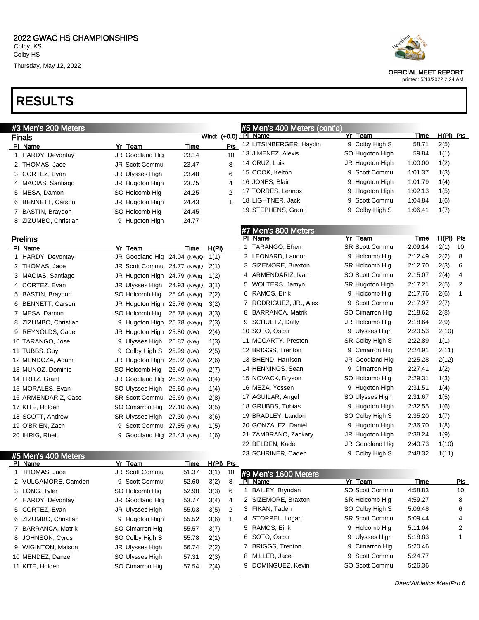# RESULTS

| #3 Men's 200 Meters  |                             |             |                      |   | #5 Men's 400 Meters (cont'd)   |                       |             |             |
|----------------------|-----------------------------|-------------|----------------------|---|--------------------------------|-----------------------|-------------|-------------|
| <b>Finals</b>        |                             |             | Wind: (+0.0)         |   | <b>PI Name</b>                 | Yr Team               | <b>Time</b> | $H(PI)$ Pts |
| PI Name              | Yr Team                     | Time        | Pts                  |   | 12 LITSINBERGER, Haydin        | 9 Colby High S        | 58.71       | 2(5)        |
| 1 HARDY, Devontay    | JR Goodland Hig             | 23.14       | 10                   |   | 13 JIMENEZ, Alexis             | SO Hugoton High       | 59.84       | 1(1)        |
| 2 THOMAS, Jace       | JR Scott Commu              | 23.47       | 8                    |   | 14 CRUZ, Luis                  | JR Hugoton High       | 1:00.00     | 1(2)        |
| 3 CORTEZ, Evan       | JR Ulysses High             | 23.48       | 6                    |   | 15 COOK, Kelton                | 9 Scott Commu         | 1:01.37     | 1(3)        |
| 4 MACIAS, Santiago   | JR Hugoton High             | 23.75       | 4                    |   | 16 JONES, Blair                | 9 Hugoton High        | 1:01.79     | 1(4)        |
| 5 MESA, Damon        | SO Holcomb Hig              | 24.25       | $\overline{2}$       |   | 17 TORRES, Lennox              | 9 Hugoton High        | 1:02.13     | 1(5)        |
| 6 BENNETT, Carson    | JR Hugoton High             | 24.43       | $\mathbf 1$          |   | 18 LIGHTNER, Jack              | Scott Commu<br>9      | 1:04.84     | 1(6)        |
| 7 BASTIN, Braydon    | SO Holcomb Hig              | 24.45       |                      |   | 19 STEPHENS, Grant             | Colby High S<br>9     | 1:06.41     | 1(7)        |
| 8 ZIZUMBO, Christian | 9 Hugoton High              | 24.77       |                      |   |                                |                       |             |             |
|                      |                             |             |                      |   | #7 Men's 800 Meters            |                       |             |             |
| <b>Prelims</b>       |                             |             |                      |   | PI Name                        | Yr Team               | Time        | H(PI) Pts   |
| PI Name              | Yr Team                     | Time        | H(PI)                |   | TARANGO, Efren<br>$\mathbf{1}$ | <b>SR Scott Commu</b> | 2:09.14     | 2(1)<br>10  |
| 1 HARDY, Devontay    | JR Goodland Hig 24.04 (NW)Q |             | 1(1)                 |   | 2 LEONARD, Landon              | 9 Holcomb Hig         | 2:12.49     | 8<br>2(2)   |
| 2 THOMAS, Jace       | JR Scott Commu 24.77 (NW)Q  |             | 2(1)                 |   | SIZEMORE, Braxton<br>3         | SR Holcomb Hig        | 2:12.70     | 2(3)<br>6   |
| 3 MACIAS, Santiago   | JR Hugoton High 24.79 (NW)q |             | 1(2)                 | 4 | ARMENDARIZ, Ivan               | SO Scott Commu        | 2:15.07     | 2(4)<br>4   |
| 4 CORTEZ, Evan       | JR Ulysses High             | 24.93 (NW)Q | 3(1)                 | 5 | WOLTERS, Jamyn                 | SR Hugoton High       | 2:17.21     | 2(5)<br>2   |
| 5 BASTIN, Braydon    | SO Holcomb Hig              | 25.46 (NW)q | 2(2)                 | 6 | RAMOS, Eirik                   | 9 Holcomb Hig         | 2:17.76     | 2(6)<br>1   |
| 6 BENNETT, Carson    | JR Hugoton High 25.76 (NW)q |             | 3(2)                 | 7 | RODRIGUEZ, JR., Alex           | 9 Scott Commu         | 2:17.97     | 2(7)        |
| 7 MESA, Damon        | SO Holcomb Hig              | 25.78 (NW)q | 3(3)                 | 8 | <b>BARRANCA, Matrik</b>        | SO Cimarron Hig       | 2:18.62     | 2(8)        |
| 8 ZIZUMBO, Christian | 9 Hugoton High 25.78 (NW)q  |             | 2(3)                 | 9 | SCHUETZ, Dally                 | JR Holcomb Hig        | 2:18.64     | 2(9)        |
| 9 REYNOLDS, Cade     | JR Hugoton High 25.80 (NW)  |             | 2(4)                 |   | 10 SOTO, Oscar                 | 9 Ulysses High        | 2:20.53     | 2(10)       |
| 10 TARANGO, Jose     | 9 Ulysses High              | 25.87 (NW)  | 1(3)                 |   | 11 MCCARTY, Preston            | SR Colby High S       | 2:22.89     | 1(1)        |
| 11 TUBBS, Guy        | 9 Colby High S 25.99 (NW)   |             | 2(5)                 |   | 12 BRIGGS, Trenton             | 9 Cimarron Hig        | 2:24.91     | 2(11)       |
| 12 MENDOZA, Adam     | JR Hugoton High 26.02 (NW)  |             | 2(6)                 |   | 13 BHEND, Harrison             | JR Goodland Hig       | 2:25.28     | 2(12)       |
| 13 MUNOZ, Dominic    | SO Holcomb Hig              | 26.49 (NW)  | 2(7)                 |   | 14 HENNINGS, Sean              | 9 Cimarron Hig        | 2:27.41     | 1(2)        |
| 14 FRITZ, Grant      | JR Goodland Hig 26.52 (NW)  |             | 3(4)                 |   | 15 NOVACK, Bryson              | SO Holcomb Hig        | 2:29.31     | 1(3)        |
| 15 MORALES, Evan     | SO Ulysses High             | 26.60 (NW)  | 1(4)                 |   | 16 MEZA, Yossen                | 9 Hugoton High        | 2:31.51     | 1(4)        |
| 16 ARMENDARIZ, Case  | SR Scott Commu 26.69 (NW)   |             | 2(8)                 |   | 17 AGUILAR, Angel              | SO Ulysses High       | 2:31.67     | 1(5)        |
| 17 KITE, Holden      | SO Cimarron Hig             | 27.10 (NW)  | 3(5)                 |   | 18 GRUBBS, Tobias              | 9 Hugoton High        | 2:32.55     | 1(6)        |
| 18 SCOTT, Andrew     | SR Ulysses High             | 27.30 (NW)  | 3(6)                 |   | 19 BRADLEY, Landon             | SO Colby High S       | 2:35.20     | 1(7)        |
| 19 O'BRIEN, Zach     | 9 Scott Commu 27.85 (NW)    |             | 1(5)                 |   | 20 GONZALEZ, Daniel            | 9 Hugoton High        | 2:36.70     | 1(8)        |
| 20 IHRIG, Rhett      | 9 Goodland Hig 28.43 (NW)   |             | 1(6)                 |   | 21 ZAMBRANO, Zackary           | JR Hugoton High       | 2:38.24     | 1(9)        |
|                      |                             |             |                      |   | 22 BELDEN, Kade                | JR Goodland Hig       | 2:40.73     | 1(10)       |
| #5 Men's 400 Meters  |                             |             |                      |   | 23 SCHRINER, Caden             | 9 Colby High S        | 2:48.32     | 1(11)       |
| PI Name              | Yr Team                     | Time        | $H(PI)$ Pts          |   |                                |                       |             |             |
| 1 THOMAS, Jace       | JR Scott Commu              | 51.37       | 3(1)<br>10           |   | #9 Men's 1600 Meters           |                       |             |             |
| 2 VULGAMORE, Camden  | 9 Scott Commu               | 52.60       | 3(2)<br>8            |   | PI Name                        | Yr Team               | <u>Time</u> | <u>Pts</u>  |
| 3 LONG, Tyler        | SO Holcomb Hig              | 52.98       | 3(3)<br>6            | 1 | BAILEY, Bryndan                | SO Scott Commu        | 4:58.83     | 10          |
| 4 HARDY, Devontay    | JR Goodland Hig             | 53.77       | 3(4)<br>4            |   | 2 SIZEMORE, Braxton            | SR Holcomb Hig        | 4:59.27     | 8           |
| 5 CORTEZ, Evan       | JR Ulysses High             | 55.03       | 3(5)<br>2            |   | 3 FIKAN, Taden                 | SO Colby High S       | 5:06.48     | 6           |
| 6 ZIZUMBO, Christian | 9 Hugoton High              | 55.52       | 3(6)<br>$\mathbf{1}$ |   | 4 STOPPEL, Logan               | <b>SR Scott Commu</b> | 5:09.44     | 4           |
| 7 BARRANCA, Matrik   | SO Cimarron Hig             | 55.57       | 3(7)                 |   | 5 RAMOS, Eirik                 | 9 Holcomb Hig         | 5:11.04     | 2           |
| 8 JOHNSON, Cyrus     | SO Colby High S             | 55.78       | 2(1)                 | 6 | SOTO, Oscar                    | 9 Ulysses High        | 5:18.83     | 1           |
| 9 WIGINTON, Maison   | JR Ulysses High             | 56.74       | 2(2)                 | 7 | <b>BRIGGS, Trenton</b>         | 9 Cimarron Hig        | 5:20.46     |             |
| 10 MENDEZ, Danzel    | SO Ulysses High             | 57.31       | 2(3)                 | 8 | MILLER, Jace                   | 9 Scott Commu         | 5:24.77     |             |
| 11 KITE, Holden      | SO Cimarron Hig             | 57.54       | 2(4)                 |   | 9 DOMINGUEZ, Kevin             | SO Scott Commu        | 5:26.36     |             |
|                      |                             |             |                      |   |                                |                       |             |             |



OFFICIAL MEET REPORT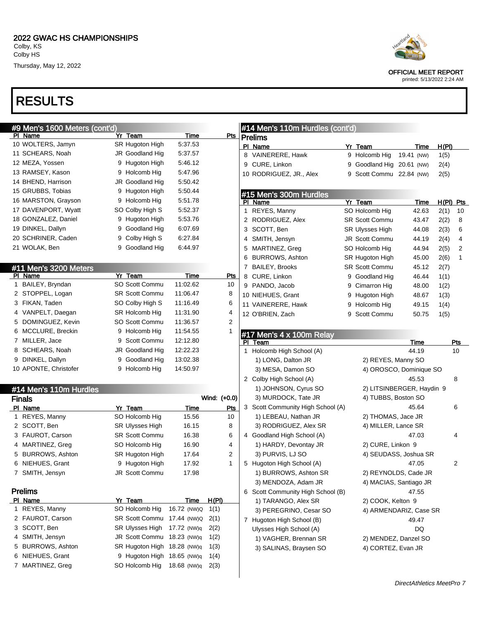# RESULTS





OFFICIAL MEET REPORT printed: 5/13/2022 2:24 AM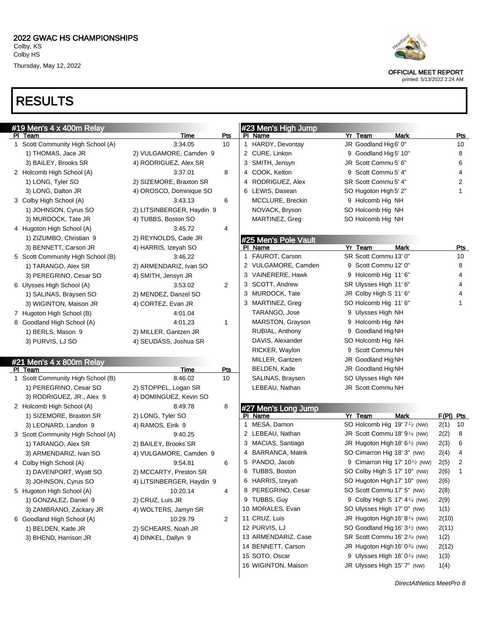# RESULTS

| #19 Men's 4 x 400m Relay            |                           |                |              | #23 Men's High Jump            |                        |                                                        |           |            |
|-------------------------------------|---------------------------|----------------|--------------|--------------------------------|------------------------|--------------------------------------------------------|-----------|------------|
| PI Team                             | <b>Time</b>               | <u>Pts</u>     |              | PI Name                        | Yr Team                | <b>Mark</b>                                            |           | <b>Pts</b> |
| 1 Scott Community High School (A)   | 3:34.05                   | 10             |              | 1 HARDY, Devontay              | JR Goodland Hig 6' 0"  |                                                        |           | 10         |
| 1) THOMAS, Jace JR                  | 2) VULGAMORE, Camden 9    |                |              | 2 CURE, Linkon                 | 9 Goodland Hig 5' 10"  |                                                        |           | 8          |
| 3) BAILEY, Brooks SR                | 4) RODRIGUEZ, Alex SR     |                |              | 3 SMITH, Jensyn                | JR Scott Commu 5' 6"   |                                                        |           | 6          |
| 2 Holcomb High School (A)           | 3:37.01                   | 8              |              | 4 COOK, Kelton                 | 9 Scott Commu 5' 4"    |                                                        |           | 4          |
| 1) LONG, Tyler SO                   | 2) SIZEMORE, Braxton SR   |                |              | 4 RODRIGUEZ, Alex              | SR Scott Commu 5' 4"   |                                                        |           | 2          |
| 3) LONG, Dalton JR                  | 4) OROSCO, Dominique SO   |                |              | 6 LEWIS, Dasean                | SO Hugoton High 5' 2"  |                                                        |           | 1          |
| 3 Colby High School (A)             | 3:43.13                   | 6              |              | MCCLURE, Breckin               | 9 Holcomb Hig NH       |                                                        |           |            |
| 1) JOHNSON, Cyrus SO                | 2) LITSINBERGER, Haydin 9 |                |              | NOVACK, Bryson                 | SO Holcomb Hig NH      |                                                        |           |            |
| 3) MURDOCK, Tate JR                 | 4) TUBBS, Boston SO       |                |              | MARTINEZ, Greg                 | SO Holcomb Hig NH      |                                                        |           |            |
| 4 Hugoton High School (A)           | 3:45.72                   | 4              |              |                                |                        |                                                        |           |            |
| 1) ZIZUMBO, Christian 9             | 2) REYNOLDS, Cade JR      |                |              | #25 Men's Pole Vault           |                        |                                                        |           |            |
| 3) BENNETT, Carson JR               | 4) HARRIS, Izeyah SO      |                |              | PI Name                        | Yr Team                | <b>Mark</b>                                            |           | <b>Pts</b> |
| 5 Scott Community High School (B)   | 3:46.22                   |                | $\mathbf{1}$ | FAUROT, Carson                 | SR Scott Commu 13' 0"  |                                                        |           | 10         |
| 1) TARANGO, Alex SR                 | 2) ARMENDARIZ, Ivan SO    |                |              | 2 VULGAMORE, Camden            | 9 Scott Commu 12' 0"   |                                                        |           | 8          |
| 3) PEREGRINO, Cesar SO              | 4) SMITH, Jensyn JR       |                |              | 3 VAINERERE, Hawk              | 9 Holcomb Hig 11' 6"   |                                                        |           | 4          |
| 6 Ulysses High School (A)           | 3:53.02                   | $\overline{2}$ |              | 3 SCOTT, Andrew                | SR Ulysses High 11' 6" |                                                        |           | 4          |
| 1) SALINAS, Braysen SO              | 2) MENDEZ, Danzel SO      |                |              | 3 MURDOCK, Tate                | JR Colby High S 11' 6" |                                                        |           | 4          |
| 3) WIGINTON, Maison JR              | 4) CORTEZ, Evan JR        |                |              | 3 MARTINEZ, Greg               | SO Holcomb Hig 11' 6"  |                                                        |           | 1          |
| 7 Hugoton High School (B)           | 4:01.04                   |                |              | TARANGO, Jose                  | 9 Ulysses High NH      |                                                        |           |            |
| 8 Goodland High School (A)          | 4:01.23                   | $\mathbf{1}$   |              | MARSTON, Grayson               | 9 Holcomb Hig NH       |                                                        |           |            |
| 1) BERLS, Mason 9                   | 2) MILLER, Gantzen JR     |                |              | RUBIAL, Anthony                | 9 Goodland Hig NH      |                                                        |           |            |
| 3) PURVIS, LJ SO                    | 4) SEUDASS, Joshua SR     |                |              | DAVIS, Alexander               | SO Holcomb Hig NH      |                                                        |           |            |
|                                     |                           |                |              | RICKER, Waylon                 | 9 Scott Commu NH       |                                                        |           |            |
|                                     |                           |                |              | MILLER, Gantzen                | JR Goodland Hig NH     |                                                        |           |            |
| #21 Men's 4 x 800m Relay<br>PI Team | <b>Time</b>               | <b>Pts</b>     |              | BELDEN, Kade                   | JR Goodland Hig NH     |                                                        |           |            |
| 1 Scott Community High School (B)   | 8:46.02                   | 10             |              | SALINAS, Braysen               | SO Ulysses High NH     |                                                        |           |            |
| 1) PEREGRINO, Cesar SO              | 2) STOPPEL, Logan SR      |                |              | LEBEAU, Nathan                 | JR Scott Commu NH      |                                                        |           |            |
| 3) RODRIGUEZ, JR., Alex 9           | 4) DOMINGUEZ, Kevin SO    |                |              |                                |                        |                                                        |           |            |
| 2 Holcomb High School (A)           | 8:49.78                   | 8              |              |                                |                        |                                                        |           |            |
| 1) SIZEMORE, Braxton SR             | 2) LONG, Tyler SO         |                |              | #27 Men's Long Jump<br>PI Name | Yr Team                | <b>Mark</b>                                            | F(PI) Pts |            |
|                                     |                           |                | 1            | MESA, Damon                    |                        | SO Holcomb Hig 19' 7 <sup>1</sup> / <sub>2</sub> (NW)  | 2(1)      | 10         |
| 3) LEONARD, Landon 9                | 4) RAMOS, Eirik 9         |                |              | 2 LEBEAU, Nathan               |                        | JR Scott Commu 18' 91/4 (NW)                           | 2(2)      | 8          |
| 3 Scott Community High School (A)   | 9:40.25                   |                |              | 3 MACIAS, Santiago             |                        | JR Hugoton High 18' 6 <sup>1</sup> /2 (NW)             |           | 6          |
| 1) TARANGO, Alex SR                 | 2) BAILEY, Brooks SR      |                |              | 4 BARRANCA, Matrik             |                        | SO Cimarron Hig 18' 3" (NW)                            | 2(3)      | 4          |
| 3) ARMENDARIZ, Ivan SO              | 4) VULGAMORE, Camden 9    |                |              | 5 PANDO, Jacob                 |                        | 9 Cimarron Hig 17' 10 <sup>1</sup> / <sub>2</sub> (NW) | 2(4)      |            |
| 4 Colby High School (A)             | 9:54.81                   | 6              |              |                                |                        |                                                        | 2(5)      | 2<br>1     |
| 1) DAVENPORT, Wyatt SO              | 2) MCCARTY, Preston SR    |                |              | 6 TUBBS, Boston                |                        | SO Colby High S 17' 10" (NW)                           | 2(6)      |            |
| 3) JOHNSON, Cyrus SO                | 4) LITSINBERGER, Haydin 9 |                |              | 6 HARRIS, Izeyah               |                        | SO Hugoton High 17' 10" (NW)                           | 2(6)      |            |
| 5 Hugoton High School (A)           | 10:20.14                  | 4              |              | 8 PEREGRINO, Cesar             |                        | SO Scott Commu 17' 5" (NW)                             | 2(8)      |            |
| 1) GONZALEZ, Daniel 9               | 2) CRUZ, Luis JR          |                |              | 9 TUBBS, Guy                   |                        | 9 Colby High S 17' 4 <sup>1/4</sup> (NW)               | 2(9)      |            |
| 3) ZAMBRANO, Zackary JR             | 4) WOLTERS, Jamyn SR      |                |              | 10 MORALES, Evan               |                        | SO Ulysses High 17' 0" (NW)                            | 1(1)      |            |
| 6 Goodland High School (A)          | 10:29.79                  | 2              |              | 11 CRUZ, Luis                  |                        | JR Hugoton High 16' 8 <sup>1/4</sup> (NW)              | 2(10)     |            |
| 1) BELDEN, Kade JR                  | 2) SCHEARS, Noah JR       |                |              | 12 PURVIS, LJ                  |                        | SO Goodland Hig 16' 3 <sup>1/2</sup> (NW)              | 2(11)     |            |
| 3) BHEND, Harrison JR               | 4) DINKEL, Dallyn 9       |                |              | 13 ARMENDARIZ, Case            |                        | SR Scott Commu 16' 23/4 (NW)                           | 1(2)      |            |
|                                     |                           |                |              | 14 BENNETT, Carson             |                        | JR Hugoton High 16' $0\frac{3}{4}$ (NW)                | 2(12)     |            |
|                                     |                           |                |              | 15 SOTO, Oscar                 |                        | 9 Ulysses High 16' $0\frac{1}{4}$ (NW)                 | 1(3)      |            |
|                                     |                           |                |              | 16 WIGINTON, Maison            |                        | JR Ulysses High 15' 7" (NW)                            | 1(4)      |            |



OFFICIAL MEET REPORT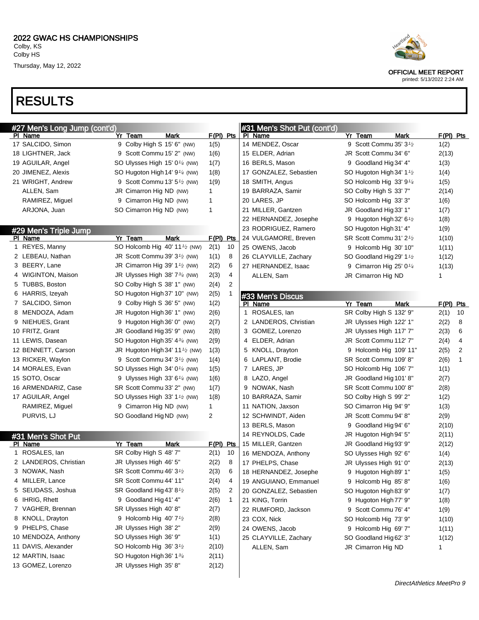#### RESULTS

| <b>RESULTS</b><br>#31 Men's Shot Put (cont'd)<br>Yr Team<br>Mark<br>$F(PI)$ Pts<br>PI Name<br>Yr Team<br><b>Mark</b><br>9 Scott Commu 35' 3 <sup>1</sup> /2<br>9 Colby High S 15' 6" (NW)<br>14 MENDEZ, Oscar<br>1(5)<br>JR Scott Commu 34' 6"<br>9 Scott Commu 15' 2" (NW)<br>15 ELDER, Adrian<br>1(6)<br>16 BERLS, Mason<br>9 Goodland Hig 34' 4"<br>SO Ulysses High 15' 0 <sup>1/4</sup> (NW)<br>1(7)<br>17 GONZALEZ, Sebastien<br>SO Hugoton High 14' 9 <sup>1/4</sup> (NW)<br>1(8)<br>SO Hugoton High 34' 1 <sup>1</sup> /2<br>9 Scott Commu 13' 5 <sup>1</sup> / <sub>2</sub> (NW)<br>18 SMITH, Angus<br>1(9)<br>SO Holcomb Hig 33' 9 <sup>1/4</sup><br>JR Cimarron Hig ND (NW)<br>19 BARRAZA, Samir<br>ALLEN, Sam<br>1<br>SO Colby High S 33' 7"<br>RAMIREZ, Miguel<br>9 Cimarron Hig ND (NW)<br>$\mathbf{1}$<br>20 LARES, JP<br>SO Holcomb Hig 33' 3"<br>ARJONA, Juan<br>SO Cimarron Hig ND (NW)<br>$\mathbf{1}$<br>21 MILLER, Gantzen<br>JR Goodland Hig 33' 1"<br>22 HERNANDEZ, Josephe<br>9 Hugoton High 32' 6 <sup>1</sup> /2 | $F(PI)$ Pts<br>1(2)<br>2(13)<br>1(3)<br>1(4)<br>1(5) |
|-------------------------------------------------------------------------------------------------------------------------------------------------------------------------------------------------------------------------------------------------------------------------------------------------------------------------------------------------------------------------------------------------------------------------------------------------------------------------------------------------------------------------------------------------------------------------------------------------------------------------------------------------------------------------------------------------------------------------------------------------------------------------------------------------------------------------------------------------------------------------------------------------------------------------------------------------------------------------------------------------------------------------------------------|------------------------------------------------------|
| #27 Men's Long Jump (cont'd)<br>PI Name<br>17 SALCIDO, Simon<br>18 LIGHTNER, Jack<br>19 AGUILAR, Angel<br>20 JIMENEZ, Alexis<br>21 WRIGHT, Andrew                                                                                                                                                                                                                                                                                                                                                                                                                                                                                                                                                                                                                                                                                                                                                                                                                                                                                         |                                                      |
|                                                                                                                                                                                                                                                                                                                                                                                                                                                                                                                                                                                                                                                                                                                                                                                                                                                                                                                                                                                                                                           |                                                      |
|                                                                                                                                                                                                                                                                                                                                                                                                                                                                                                                                                                                                                                                                                                                                                                                                                                                                                                                                                                                                                                           |                                                      |
|                                                                                                                                                                                                                                                                                                                                                                                                                                                                                                                                                                                                                                                                                                                                                                                                                                                                                                                                                                                                                                           |                                                      |
|                                                                                                                                                                                                                                                                                                                                                                                                                                                                                                                                                                                                                                                                                                                                                                                                                                                                                                                                                                                                                                           |                                                      |
|                                                                                                                                                                                                                                                                                                                                                                                                                                                                                                                                                                                                                                                                                                                                                                                                                                                                                                                                                                                                                                           |                                                      |
|                                                                                                                                                                                                                                                                                                                                                                                                                                                                                                                                                                                                                                                                                                                                                                                                                                                                                                                                                                                                                                           |                                                      |
|                                                                                                                                                                                                                                                                                                                                                                                                                                                                                                                                                                                                                                                                                                                                                                                                                                                                                                                                                                                                                                           |                                                      |
|                                                                                                                                                                                                                                                                                                                                                                                                                                                                                                                                                                                                                                                                                                                                                                                                                                                                                                                                                                                                                                           | 2(14)                                                |
|                                                                                                                                                                                                                                                                                                                                                                                                                                                                                                                                                                                                                                                                                                                                                                                                                                                                                                                                                                                                                                           | 1(6)                                                 |
|                                                                                                                                                                                                                                                                                                                                                                                                                                                                                                                                                                                                                                                                                                                                                                                                                                                                                                                                                                                                                                           | 1(7)                                                 |
|                                                                                                                                                                                                                                                                                                                                                                                                                                                                                                                                                                                                                                                                                                                                                                                                                                                                                                                                                                                                                                           | 1(8)                                                 |
| 23 RODRIGUEZ, Ramero<br>SO Hugoton High 31' 4"<br>#29 Men's Triple Jump                                                                                                                                                                                                                                                                                                                                                                                                                                                                                                                                                                                                                                                                                                                                                                                                                                                                                                                                                                   | 1(9)                                                 |
| PI Name<br>Yr Team<br><b>Mark</b><br>$F(PI)$ Pts<br>24 VULGAMORE, Breven<br>SR Scott Commu 31' 21/2                                                                                                                                                                                                                                                                                                                                                                                                                                                                                                                                                                                                                                                                                                                                                                                                                                                                                                                                       | 1(10)                                                |
| 1 REYES, Manny<br>SO Holcomb Hig 40' 11 <sup>1/2</sup> (NW)<br>2(1)<br>10<br>25 OWENS, Jacob<br>9 Holcomb Hig 30' 10"                                                                                                                                                                                                                                                                                                                                                                                                                                                                                                                                                                                                                                                                                                                                                                                                                                                                                                                     | 1(11)                                                |
| 2 LEBEAU, Nathan<br>JR Scott Commu 39' 3 <sup>1/2</sup> (NW)<br>1(1)<br>8<br>26 CLAYVILLE, Zachary<br>SO Goodland Hig 29' 1 <sup>1</sup> /2                                                                                                                                                                                                                                                                                                                                                                                                                                                                                                                                                                                                                                                                                                                                                                                                                                                                                               | 1(12)                                                |
| 3 BEERY, Lane<br>JR Cimarron Hig 39' 1 <sup>1</sup> /2 (NW)<br>2(2)<br>6<br>27 HERNANDEZ, Isaac<br>9 Cimarron Hig 25' $0\frac{1}{4}$                                                                                                                                                                                                                                                                                                                                                                                                                                                                                                                                                                                                                                                                                                                                                                                                                                                                                                      | 1(13)                                                |
| 2(3)<br>4<br>4 WIGINTON, Maison<br>JR Ulysses High 38' 734 (NW)<br>ALLEN, Sam<br>JR Cimarron Hig ND                                                                                                                                                                                                                                                                                                                                                                                                                                                                                                                                                                                                                                                                                                                                                                                                                                                                                                                                       | $\mathbf{1}$                                         |
| 2<br>5 TUBBS, Boston<br>2(4)<br>SO Colby High S 38' 1" (NW)                                                                                                                                                                                                                                                                                                                                                                                                                                                                                                                                                                                                                                                                                                                                                                                                                                                                                                                                                                               |                                                      |
| 6 HARRIS, Izeyah<br>2(5)<br>SO Hugoton High 37' 10" (NW)                                                                                                                                                                                                                                                                                                                                                                                                                                                                                                                                                                                                                                                                                                                                                                                                                                                                                                                                                                                  |                                                      |
| #33 Men's Discus<br>7 SALCIDO, Simon<br>9 Colby High S 36' 5" (NW)<br>1(2)<br>PI Name<br>Yr Team<br><b>Mark</b>                                                                                                                                                                                                                                                                                                                                                                                                                                                                                                                                                                                                                                                                                                                                                                                                                                                                                                                           | $F(PI)$ Pts                                          |
| 8 MENDOZA, Adam<br>1 ROSALES, lan<br>SR Colby High S 132' 9"<br>JR Hugoton High 36' 1" (NW)<br>2(6)                                                                                                                                                                                                                                                                                                                                                                                                                                                                                                                                                                                                                                                                                                                                                                                                                                                                                                                                       | 10<br>2(1)                                           |
| 9 NIEHUES, Grant<br>9 Hugoton High 36' 0" (NW)<br>2 LANDEROS, Christian<br>JR Ulysses High 122' 1"<br>2(7)                                                                                                                                                                                                                                                                                                                                                                                                                                                                                                                                                                                                                                                                                                                                                                                                                                                                                                                                | 2(2)<br>8                                            |
| 10 FRITZ, Grant<br>JR Goodland Hig 35' 9" (NW)<br>2(8)<br>3 GOMEZ, Lorenzo<br>JR Ulysses High 117' 7"                                                                                                                                                                                                                                                                                                                                                                                                                                                                                                                                                                                                                                                                                                                                                                                                                                                                                                                                     | 2(3)<br>6                                            |
| 11 LEWIS, Dasean<br>SO Hugoton High 35' 434 (NW)<br>4 ELDER, Adrian<br>JR Scott Commu 112' 7"<br>2(9)                                                                                                                                                                                                                                                                                                                                                                                                                                                                                                                                                                                                                                                                                                                                                                                                                                                                                                                                     | 2(4)<br>4                                            |
| 12 BENNETT, Carson<br>JR Hugoton High 34' 11 <sup>1</sup> /2 (NW)<br>1(3)<br>5 KNOLL, Drayton<br>9 Holcomb Hig 109' 11"                                                                                                                                                                                                                                                                                                                                                                                                                                                                                                                                                                                                                                                                                                                                                                                                                                                                                                                   | 2(5)<br>2                                            |
| 9 Scott Commu 34' 3 <sup>1</sup> / <sub>2</sub> (NW)<br>SR Scott Commu 109' 8"<br>13 RICKER, Waylon<br>1(4)<br>6 LAPLANT, Brodie                                                                                                                                                                                                                                                                                                                                                                                                                                                                                                                                                                                                                                                                                                                                                                                                                                                                                                          | 2(6)<br>1                                            |
| 14 MORALES, Evan<br>7 LARES, JP<br>SO Ulysses High 34' 0 <sup>1/4</sup> (NW)<br>1(5)<br>SO Holcomb Hig 106' 7"                                                                                                                                                                                                                                                                                                                                                                                                                                                                                                                                                                                                                                                                                                                                                                                                                                                                                                                            | 1(1)                                                 |
| 15 SOTO, Oscar<br>8 LAZO, Angel<br>9 Ulysses High 33' $6\frac{1}{4}$ (NW)<br>1(6)<br>JR Goodland Hig 101' 8"                                                                                                                                                                                                                                                                                                                                                                                                                                                                                                                                                                                                                                                                                                                                                                                                                                                                                                                              | 2(7)                                                 |
| SR Scott Commu 33' 2" (NW)<br>SR Scott Commu 100' 8"<br>16 ARMENDARIZ, Case<br>1(7)<br>9 NOWAK, Nash                                                                                                                                                                                                                                                                                                                                                                                                                                                                                                                                                                                                                                                                                                                                                                                                                                                                                                                                      | 2(8)                                                 |
| 10 BARRAZA, Samir<br>17 AGUILAR, Angel<br>SO Ulysses High 33' 1 <sup>1</sup> / <sub>2</sub> (NW)<br>1(8)<br>SO Colby High S 99' 2"                                                                                                                                                                                                                                                                                                                                                                                                                                                                                                                                                                                                                                                                                                                                                                                                                                                                                                        | 1(2)                                                 |
| RAMIREZ, Miguel<br>9 Cimarron Hig ND (NW)<br>$\mathbf{1}$<br>11 NATION, Jaxson<br>SO Cimarron Hig 94' 9"                                                                                                                                                                                                                                                                                                                                                                                                                                                                                                                                                                                                                                                                                                                                                                                                                                                                                                                                  | 1(3)                                                 |
| JR Scott Commu 94' 8"<br>PURVIS, LJ<br>SO Goodland Hig ND (NW)<br>$\overline{2}$<br>12 SCHWINDT, Aiden                                                                                                                                                                                                                                                                                                                                                                                                                                                                                                                                                                                                                                                                                                                                                                                                                                                                                                                                    | 2(9)                                                 |
| 13 BERLS, Mason<br>9 Goodland Hig 94' 6"                                                                                                                                                                                                                                                                                                                                                                                                                                                                                                                                                                                                                                                                                                                                                                                                                                                                                                                                                                                                  | 2(10)                                                |
| 14 REYNOLDS, Cade<br>JR Hugoton High 94' 5"                                                                                                                                                                                                                                                                                                                                                                                                                                                                                                                                                                                                                                                                                                                                                                                                                                                                                                                                                                                               | 2(11)                                                |
| #31 Men's Shot Put<br><b>Mark</b><br>Yr Team<br>$F(PI)$ Pts<br>15 MILLER, Gantzen<br>JR Goodland Hig 93' 9"<br>PI Name                                                                                                                                                                                                                                                                                                                                                                                                                                                                                                                                                                                                                                                                                                                                                                                                                                                                                                                    | 2(12)                                                |
| 1 ROSALES, lan<br>SR Colby High S 48' 7"<br>2(1)<br>10<br>16 MENDOZA, Anthony<br>SO Ulysses High 92' 6"                                                                                                                                                                                                                                                                                                                                                                                                                                                                                                                                                                                                                                                                                                                                                                                                                                                                                                                                   | 1(4)                                                 |
| JR Ulysses High 46' 5"<br>2 LANDEROS, Christian<br>2(2)<br>8<br>17 PHELPS, Chase<br>JR Ulysses High 91' 0"                                                                                                                                                                                                                                                                                                                                                                                                                                                                                                                                                                                                                                                                                                                                                                                                                                                                                                                                |                                                      |
| 3 NOWAK, Nash<br>SR Scott Commu 46' 3 <sup>1</sup> / <sub>2</sub><br>2(3)<br>6<br>18 HERNANDEZ, Josephe<br>9 Hugoton High 89' 1"                                                                                                                                                                                                                                                                                                                                                                                                                                                                                                                                                                                                                                                                                                                                                                                                                                                                                                          | 2(13)                                                |
| SR Scott Commu 44' 11"<br>4 MILLER, Lance<br>2(4)<br>4<br>19 ANGUIANO, Emmanuel<br>9 Holcomb Hig 85' 8"                                                                                                                                                                                                                                                                                                                                                                                                                                                                                                                                                                                                                                                                                                                                                                                                                                                                                                                                   | 1(5)                                                 |
| 5 SEUDASS, Joshua<br>SR Goodland Hig 43' 8 <sup>1</sup> / <sub>2</sub><br>2(5)<br>2                                                                                                                                                                                                                                                                                                                                                                                                                                                                                                                                                                                                                                                                                                                                                                                                                                                                                                                                                       | 1(6)                                                 |
| SO Hugoton High 83' 9"<br>20 GONZALEZ, Sebastien<br>6 IHRIG, Rhett<br>9 Goodland Hig 41' 4"<br>2(6)<br>$\mathbf{1}$                                                                                                                                                                                                                                                                                                                                                                                                                                                                                                                                                                                                                                                                                                                                                                                                                                                                                                                       | 1(7)                                                 |
| 21 KING, Torrin<br>9 Hugoton High 77' 9"<br>7 VAGHER, Brennan<br>SR Ulysses High 40' 8"<br>2(7)                                                                                                                                                                                                                                                                                                                                                                                                                                                                                                                                                                                                                                                                                                                                                                                                                                                                                                                                           | 1(8)                                                 |
| 22 RUMFORD, Jackson<br>9 Scott Commu 76' 4"<br>8 KNOLL, Drayton<br>9 Holcomb Hig 40' 7 <sup>1</sup> / <sub>2</sub>                                                                                                                                                                                                                                                                                                                                                                                                                                                                                                                                                                                                                                                                                                                                                                                                                                                                                                                        | 1(9)                                                 |
| 2(8)<br>23 COX, Nick<br>SO Holcomb Hig 73' 9"<br>9 PHELPS, Chase<br>JR Ulysses High 38' 2"                                                                                                                                                                                                                                                                                                                                                                                                                                                                                                                                                                                                                                                                                                                                                                                                                                                                                                                                                | 1(10)                                                |
| 2(9)<br>24 OWENS, Jacob<br>9 Holcomb Hig 69' 7"                                                                                                                                                                                                                                                                                                                                                                                                                                                                                                                                                                                                                                                                                                                                                                                                                                                                                                                                                                                           | 1(11)                                                |
| 10 MENDOZA, Anthony<br>SO Ulysses High 36' 9"<br>1(1)<br>25 CLAYVILLE, Zachary<br>SO Goodland Hig 62' 3"                                                                                                                                                                                                                                                                                                                                                                                                                                                                                                                                                                                                                                                                                                                                                                                                                                                                                                                                  | 1(12)                                                |
| SO Holcomb Hig 36' 3 <sup>1</sup> / <sub>2</sub><br>11 DAVIS, Alexander<br>2(10)<br>ALLEN, Sam<br>JR Cimarron Hig ND                                                                                                                                                                                                                                                                                                                                                                                                                                                                                                                                                                                                                                                                                                                                                                                                                                                                                                                      | 1                                                    |
| 12 MARTIN, Isaac<br>SO Hugoton High 36' 134<br>2(11)                                                                                                                                                                                                                                                                                                                                                                                                                                                                                                                                                                                                                                                                                                                                                                                                                                                                                                                                                                                      |                                                      |
| 13 GOMEZ, Lorenzo<br>JR Ulysses High 35' 8"<br>2(12)                                                                                                                                                                                                                                                                                                                                                                                                                                                                                                                                                                                                                                                                                                                                                                                                                                                                                                                                                                                      |                                                      |



OFFICIAL MEET REPORT